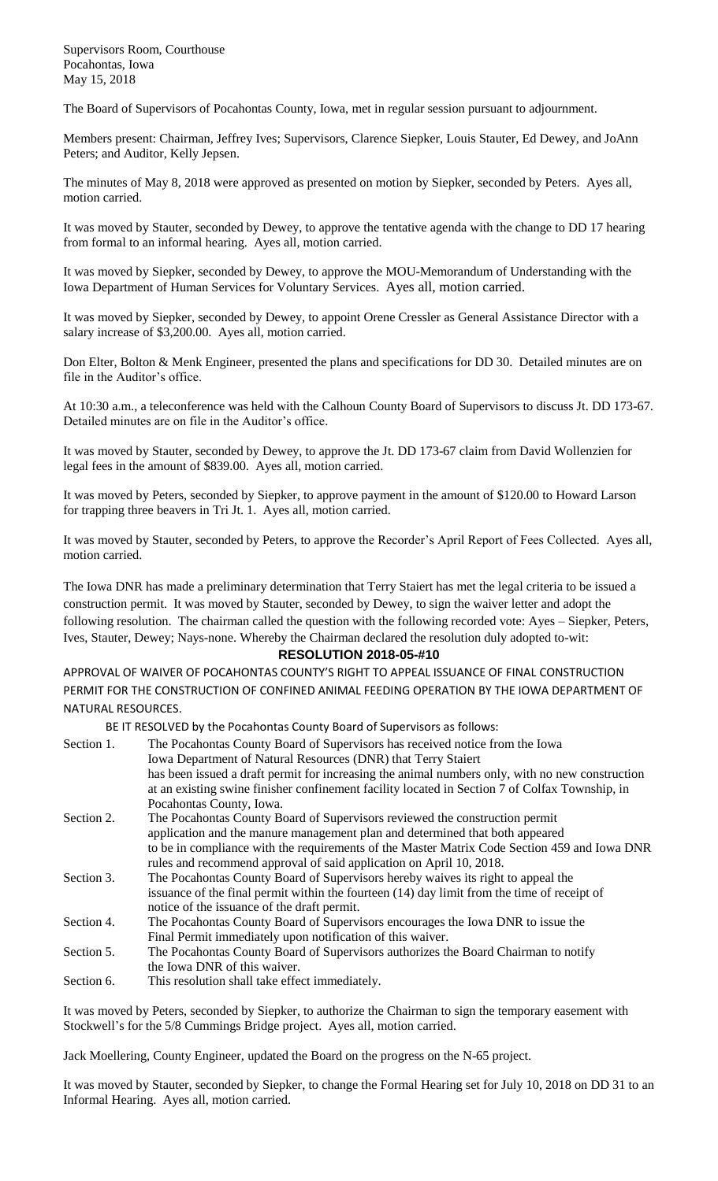Supervisors Room, Courthouse Pocahontas, Iowa May 15, 2018

The Board of Supervisors of Pocahontas County, Iowa, met in regular session pursuant to adjournment.

Members present: Chairman, Jeffrey Ives; Supervisors, Clarence Siepker, Louis Stauter, Ed Dewey, and JoAnn Peters; and Auditor, Kelly Jepsen.

The minutes of May 8, 2018 were approved as presented on motion by Siepker, seconded by Peters. Ayes all, motion carried.

It was moved by Stauter, seconded by Dewey, to approve the tentative agenda with the change to DD 17 hearing from formal to an informal hearing. Ayes all, motion carried.

It was moved by Siepker, seconded by Dewey, to approve the MOU-Memorandum of Understanding with the Iowa Department of Human Services for Voluntary Services. Ayes all, motion carried.

It was moved by Siepker, seconded by Dewey, to appoint Orene Cressler as General Assistance Director with a salary increase of \$3,200.00. Ayes all, motion carried.

Don Elter, Bolton & Menk Engineer, presented the plans and specifications for DD 30. Detailed minutes are on file in the Auditor's office.

At 10:30 a.m., a teleconference was held with the Calhoun County Board of Supervisors to discuss Jt. DD 173-67. Detailed minutes are on file in the Auditor's office.

It was moved by Stauter, seconded by Dewey, to approve the Jt. DD 173-67 claim from David Wollenzien for legal fees in the amount of \$839.00. Ayes all, motion carried.

It was moved by Peters, seconded by Siepker, to approve payment in the amount of \$120.00 to Howard Larson for trapping three beavers in Tri Jt. 1. Ayes all, motion carried.

It was moved by Stauter, seconded by Peters, to approve the Recorder's April Report of Fees Collected. Ayes all, motion carried.

The Iowa DNR has made a preliminary determination that Terry Staiert has met the legal criteria to be issued a construction permit. It was moved by Stauter, seconded by Dewey, to sign the waiver letter and adopt the following resolution. The chairman called the question with the following recorded vote: Ayes – Siepker, Peters, Ives, Stauter, Dewey; Nays-none. Whereby the Chairman declared the resolution duly adopted to-wit:

## **RESOLUTION 2018-05-#10**

APPROVAL OF WAIVER OF POCAHONTAS COUNTY'S RIGHT TO APPEAL ISSUANCE OF FINAL CONSTRUCTION PERMIT FOR THE CONSTRUCTION OF CONFINED ANIMAL FEEDING OPERATION BY THE IOWA DEPARTMENT OF NATURAL RESOURCES.

BE IT RESOLVED by the Pocahontas County Board of Supervisors as follows:

| Section 1. | The Pocahontas County Board of Supervisors has received notice from the Iowa<br>Iowa Department of Natural Resources (DNR) that Terry Staiert |
|------------|-----------------------------------------------------------------------------------------------------------------------------------------------|
|            | has been issued a draft permit for increasing the animal numbers only, with no new construction                                               |
|            | at an existing swine finisher confinement facility located in Section 7 of Colfax Township, in<br>Pocahontas County, Iowa.                    |
| Section 2. | The Pocahontas County Board of Supervisors reviewed the construction permit                                                                   |
|            | application and the manure management plan and determined that both appeared                                                                  |
|            | to be in compliance with the requirements of the Master Matrix Code Section 459 and Iowa DNR                                                  |
|            | rules and recommend approval of said application on April 10, 2018.                                                                           |
| Section 3. | The Pocahontas County Board of Supervisors hereby waives its right to appeal the                                                              |
|            | issuance of the final permit within the fourteen (14) day limit from the time of receipt of                                                   |
|            | notice of the issuance of the draft permit.                                                                                                   |
| Section 4. | The Pocahontas County Board of Supervisors encourages the Iowa DNR to issue the                                                               |
|            | Final Permit immediately upon notification of this waiver.                                                                                    |
| Section 5. | The Pocahontas County Board of Supervisors authorizes the Board Chairman to notify                                                            |
|            | the Iowa DNR of this waiver.                                                                                                                  |
| Section 6. | This resolution shall take effect immediately.                                                                                                |

It was moved by Peters, seconded by Siepker, to authorize the Chairman to sign the temporary easement with Stockwell's for the 5/8 Cummings Bridge project. Ayes all, motion carried.

Jack Moellering, County Engineer, updated the Board on the progress on the N-65 project.

It was moved by Stauter, seconded by Siepker, to change the Formal Hearing set for July 10, 2018 on DD 31 to an Informal Hearing. Ayes all, motion carried.